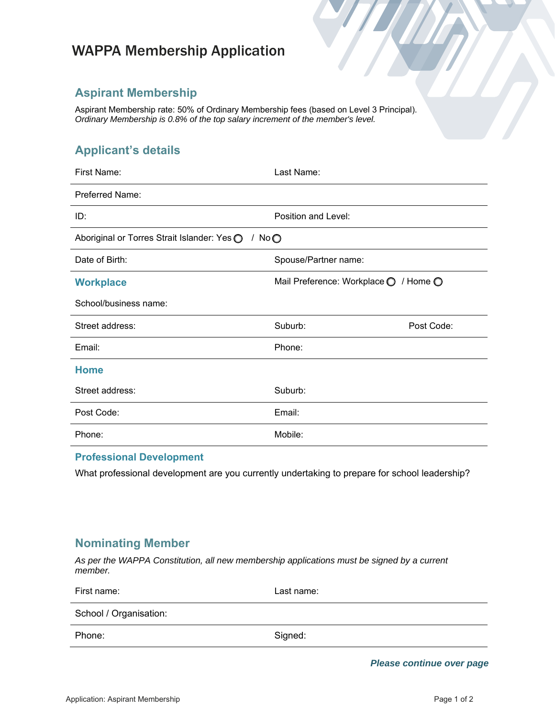# WAPPA Membership Application

### **Aspirant Membership**

Aspirant Membership rate: 50% of Ordinary Membership fees (based on Level 3 Principal). *Ordinary Membership is 0.8% of the top salary increment of the member's level.*

## **Applicant's details**

| First Name:                                            | Last Name:                            |            |  |  |
|--------------------------------------------------------|---------------------------------------|------------|--|--|
| <b>Preferred Name:</b>                                 |                                       |            |  |  |
| ID:                                                    | Position and Level:                   |            |  |  |
| Aboriginal or Torres Strait Islander: Yes O<br>/ $NoO$ |                                       |            |  |  |
| Date of Birth:                                         | Spouse/Partner name:                  |            |  |  |
| <b>Workplace</b>                                       | Mail Preference: Workplace O / Home O |            |  |  |
| School/business name:                                  |                                       |            |  |  |
| Street address:                                        | Suburb:                               | Post Code: |  |  |
| Email:                                                 | Phone:                                |            |  |  |
| <b>Home</b>                                            |                                       |            |  |  |
| Street address:                                        | Suburb:                               |            |  |  |
| Post Code:                                             | Email:                                |            |  |  |
| Phone:                                                 | Mobile:                               |            |  |  |

#### **Professional Development**

What professional development are you currently undertaking to prepare for school leadership?

### **Nominating Member**

*As per the WAPPA Constitution, all new membership applications must be signed by a current member.*

| First name:            | Last name: |
|------------------------|------------|
| School / Organisation: |            |
| Phone:                 | Signed:    |

*Please continue over page*